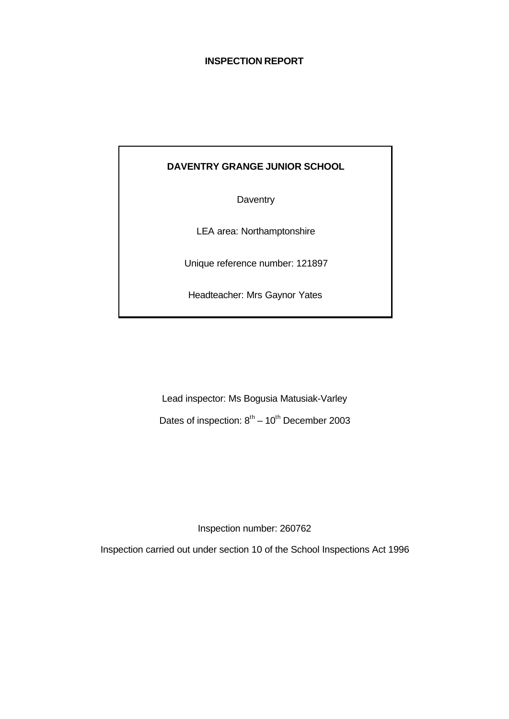## **INSPECTION REPORT**

# **DAVENTRY GRANGE JUNIOR SCHOOL**

**Daventry** 

LEA area: Northamptonshire

Unique reference number: 121897

Headteacher: Mrs Gaynor Yates

Lead inspector: Ms Bogusia Matusiak-Varley Dates of inspection:  $8<sup>th</sup> - 10<sup>th</sup>$  December 2003

Inspection number: 260762

Inspection carried out under section 10 of the School Inspections Act 1996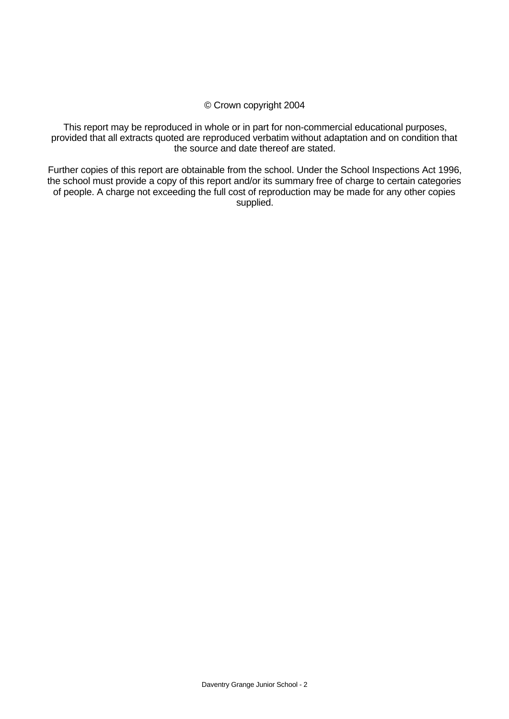#### © Crown copyright 2004

This report may be reproduced in whole or in part for non-commercial educational purposes, provided that all extracts quoted are reproduced verbatim without adaptation and on condition that the source and date thereof are stated.

Further copies of this report are obtainable from the school. Under the School Inspections Act 1996, the school must provide a copy of this report and/or its summary free of charge to certain categories of people. A charge not exceeding the full cost of reproduction may be made for any other copies supplied.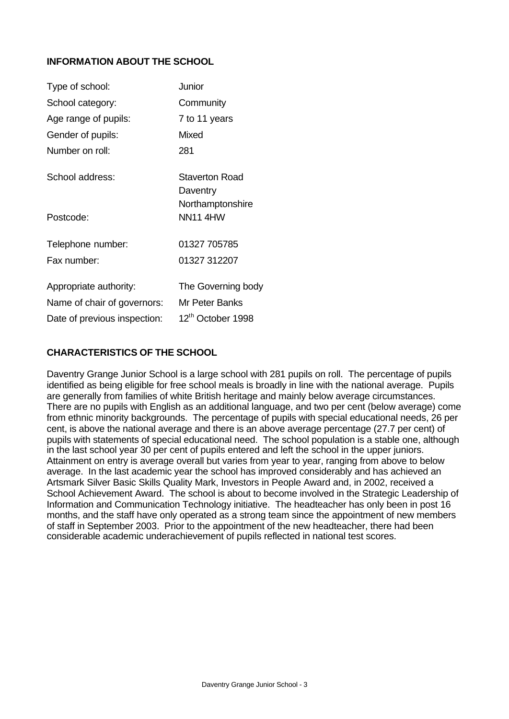# **INFORMATION ABOUT THE SCHOOL**

| Type of school:              | Junior                              |
|------------------------------|-------------------------------------|
| School category:             | Community                           |
| Age range of pupils:         | 7 to 11 years                       |
| Gender of pupils:            | Mixed                               |
| Number on roll:              | 281                                 |
| School address:              | Staverton Road<br>Daventry          |
| Postcode:                    | Northamptonshire<br><b>NN11 4HW</b> |
| Telephone number:            | 01327 705785                        |
| Fax number:                  | 01327 312207                        |
| Appropriate authority:       | The Governing body                  |
| Name of chair of governors:  | Mr Peter Banks                      |
| Date of previous inspection: | 12th October 1998                   |

## **CHARACTERISTICS OF THE SCHOOL**

Daventry Grange Junior School is a large school with 281 pupils on roll. The percentage of pupils identified as being eligible for free school meals is broadly in line with the national average. Pupils are generally from families of white British heritage and mainly below average circumstances. There are no pupils with English as an additional language, and two per cent (below average) come from ethnic minority backgrounds. The percentage of pupils with special educational needs, 26 per cent, is above the national average and there is an above average percentage (27.7 per cent) of pupils with statements of special educational need. The school population is a stable one, although in the last school year 30 per cent of pupils entered and left the school in the upper juniors. Attainment on entry is average overall but varies from year to year, ranging from above to below average. In the last academic year the school has improved considerably and has achieved an Artsmark Silver Basic Skills Quality Mark, Investors in People Award and, in 2002, received a School Achievement Award. The school is about to become involved in the Strategic Leadership of Information and Communication Technology initiative. The headteacher has only been in post 16 months, and the staff have only operated as a strong team since the appointment of new members of staff in September 2003. Prior to the appointment of the new headteacher, there had been considerable academic underachievement of pupils reflected in national test scores.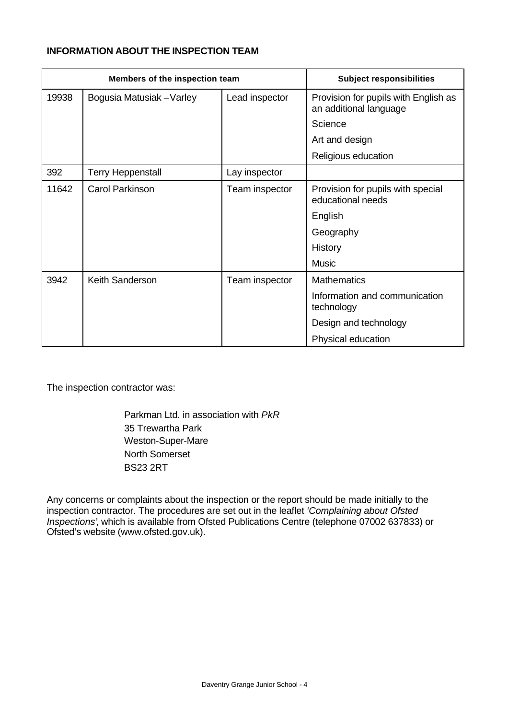## **INFORMATION ABOUT THE INSPECTION TEAM**

| Members of the inspection team |                           |                | <b>Subject responsibilities</b>                                |
|--------------------------------|---------------------------|----------------|----------------------------------------------------------------|
| 19938                          | Bogusia Matusiak - Varley | Lead inspector | Provision for pupils with English as<br>an additional language |
|                                |                           |                | Science                                                        |
|                                |                           |                | Art and design                                                 |
|                                |                           |                | Religious education                                            |
| 392                            | <b>Terry Heppenstall</b>  | Lay inspector  |                                                                |
| 11642                          | <b>Carol Parkinson</b>    | Team inspector | Provision for pupils with special<br>educational needs         |
|                                |                           |                | English                                                        |
|                                |                           |                | Geography                                                      |
|                                |                           |                | History                                                        |
|                                |                           |                | <b>Music</b>                                                   |
| 3942                           | Keith Sanderson           | Team inspector | <b>Mathematics</b>                                             |
|                                |                           |                | Information and communication<br>technology                    |
|                                |                           |                | Design and technology                                          |
|                                |                           |                | Physical education                                             |

The inspection contractor was:

Parkman Ltd. in association with *PkR* 35 Trewartha Park Weston-Super-Mare North Somerset BS23 2RT

Any concerns or complaints about the inspection or the report should be made initially to the inspection contractor. The procedures are set out in the leaflet *'Complaining about Ofsted Inspections'*, which is available from Ofsted Publications Centre (telephone 07002 637833) or Ofsted's website (www.ofsted.gov.uk).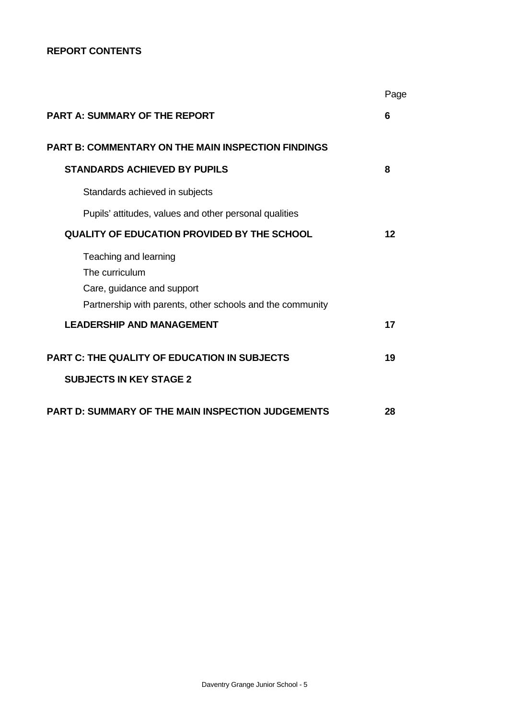## **REPORT CONTENTS**

|                                                                                       | Page |
|---------------------------------------------------------------------------------------|------|
| <b>PART A: SUMMARY OF THE REPORT</b>                                                  | 6    |
| <b>PART B: COMMENTARY ON THE MAIN INSPECTION FINDINGS</b>                             |      |
| <b>STANDARDS ACHIEVED BY PUPILS</b>                                                   | 8    |
| Standards achieved in subjects                                                        |      |
| Pupils' attitudes, values and other personal qualities                                |      |
| <b>QUALITY OF EDUCATION PROVIDED BY THE SCHOOL</b>                                    | 12   |
| Teaching and learning<br>The curriculum<br>Care, guidance and support                 |      |
| Partnership with parents, other schools and the community                             |      |
| <b>LEADERSHIP AND MANAGEMENT</b>                                                      | 17   |
| <b>PART C: THE QUALITY OF EDUCATION IN SUBJECTS</b><br><b>SUBJECTS IN KEY STAGE 2</b> | 19   |
| <b>PART D: SUMMARY OF THE MAIN INSPECTION JUDGEMENTS</b>                              | 28   |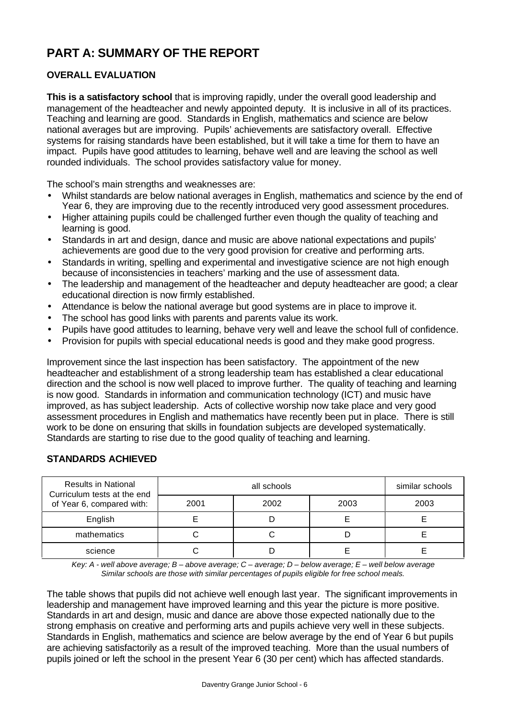# **PART A: SUMMARY OF THE REPORT**

# **OVERALL EVALUATION**

**This is a satisfactory school** that is improving rapidly, under the overall good leadership and management of the headteacher and newly appointed deputy. It is inclusive in all of its practices. Teaching and learning are good. Standards in English, mathematics and science are below national averages but are improving. Pupils' achievements are satisfactory overall. Effective systems for raising standards have been established, but it will take a time for them to have an impact. Pupils have good attitudes to learning, behave well and are leaving the school as well rounded individuals. The school provides satisfactory value for money.

The school's main strengths and weaknesses are:

- Whilst standards are below national averages in English, mathematics and science by the end of Year 6, they are improving due to the recently introduced very good assessment procedures.
- Higher attaining pupils could be challenged further even though the quality of teaching and learning is good.
- Standards in art and design, dance and music are above national expectations and pupils' achievements are good due to the very good provision for creative and performing arts.
- Standards in writing, spelling and experimental and investigative science are not high enough because of inconsistencies in teachers' marking and the use of assessment data.
- The leadership and management of the headteacher and deputy headteacher are good; a clear educational direction is now firmly established.
- Attendance is below the national average but good systems are in place to improve it.
- The school has good links with parents and parents value its work.
- Pupils have good attitudes to learning, behave very well and leave the school full of confidence.
- Provision for pupils with special educational needs is good and they make good progress.

Improvement since the last inspection has been satisfactory. The appointment of the new headteacher and establishment of a strong leadership team has established a clear educational direction and the school is now well placed to improve further. The quality of teaching and learning is now good. Standards in information and communication technology (ICT) and music have improved, as has subject leadership. Acts of collective worship now take place and very good assessment procedures in English and mathematics have recently been put in place. There is still work to be done on ensuring that skills in foundation subjects are developed systematically. Standards are starting to rise due to the good quality of teaching and learning.

| <b>Results in National</b><br>Curriculum tests at the end |      | similar schools |      |      |
|-----------------------------------------------------------|------|-----------------|------|------|
| of Year 6, compared with:                                 | 2001 | 2002            | 2003 | 2003 |
| English                                                   |      |                 |      |      |
| mathematics                                               |      |                 |      |      |
| science                                                   |      |                 |      |      |

# **STANDARDS ACHIEVED**

*Key: A - well above average; B – above average; C – average; D – below average; E – well below average Similar schools are those with similar percentages of pupils eligible for free school meals.*

The table shows that pupils did not achieve well enough last year. The significant improvements in leadership and management have improved learning and this year the picture is more positive. Standards in art and design, music and dance are above those expected nationally due to the strong emphasis on creative and performing arts and pupils achieve very well in these subjects. Standards in English, mathematics and science are below average by the end of Year 6 but pupils are achieving satisfactorily as a result of the improved teaching. More than the usual numbers of pupils joined or left the school in the present Year 6 (30 per cent) which has affected standards.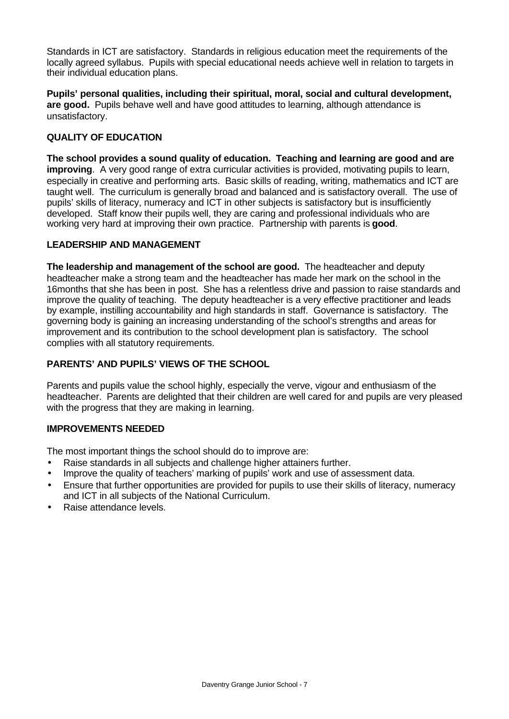Standards in ICT are satisfactory. Standards in religious education meet the requirements of the locally agreed syllabus. Pupils with special educational needs achieve well in relation to targets in their individual education plans.

**Pupils' personal qualities, including their spiritual, moral, social and cultural development, are good.** Pupils behave well and have good attitudes to learning, although attendance is unsatisfactory.

# **QUALITY OF EDUCATION**

**The school provides a sound quality of education. Teaching and learning are good and are improving**. A very good range of extra curricular activities is provided, motivating pupils to learn, especially in creative and performing arts. Basic skills of reading, writing, mathematics and ICT are taught well. The curriculum is generally broad and balanced and is satisfactory overall. The use of pupils' skills of literacy, numeracy and ICT in other subjects is satisfactory but is insufficiently developed. Staff know their pupils well, they are caring and professional individuals who are working very hard at improving their own practice. Partnership with parents is **good**.

#### **LEADERSHIP AND MANAGEMENT**

**The leadership and management of the school are good.** The headteacher and deputy headteacher make a strong team and the headteacher has made her mark on the school in the 16months that she has been in post. She has a relentless drive and passion to raise standards and improve the quality of teaching. The deputy headteacher is a very effective practitioner and leads by example, instilling accountability and high standards in staff. Governance is satisfactory. The governing body is gaining an increasing understanding of the school's strengths and areas for improvement and its contribution to the school development plan is satisfactory. The school complies with all statutory requirements.

# **PARENTS' AND PUPILS' VIEWS OF THE SCHOOL**

Parents and pupils value the school highly, especially the verve, vigour and enthusiasm of the headteacher. Parents are delighted that their children are well cared for and pupils are very pleased with the progress that they are making in learning.

# **IMPROVEMENTS NEEDED**

The most important things the school should do to improve are:

- Raise standards in all subjects and challenge higher attainers further.
- Improve the quality of teachers' marking of pupils' work and use of assessment data.
- Ensure that further opportunities are provided for pupils to use their skills of literacy, numeracy and ICT in all subjects of the National Curriculum.
- Raise attendance levels.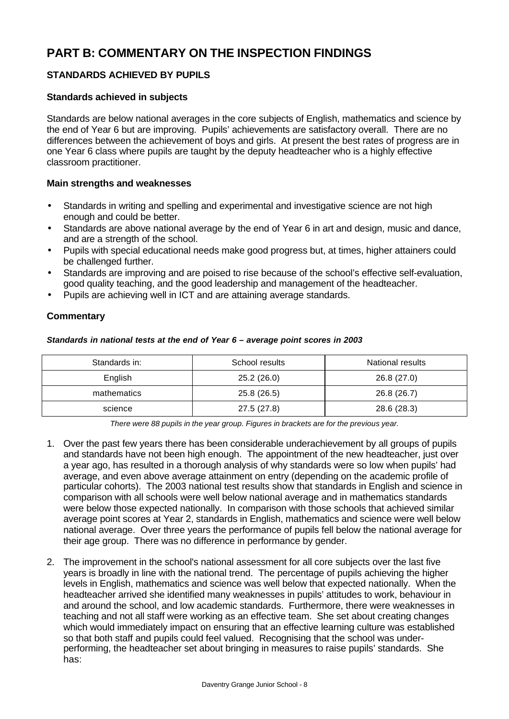# **PART B: COMMENTARY ON THE INSPECTION FINDINGS**

# **STANDARDS ACHIEVED BY PUPILS**

#### **Standards achieved in subjects**

Standards are below national averages in the core subjects of English, mathematics and science by the end of Year 6 but are improving. Pupils' achievements are satisfactory overall. There are no differences between the achievement of boys and girls. At present the best rates of progress are in one Year 6 class where pupils are taught by the deputy headteacher who is a highly effective classroom practitioner.

#### **Main strengths and weaknesses**

- Standards in writing and spelling and experimental and investigative science are not high enough and could be better.
- Standards are above national average by the end of Year 6 in art and design, music and dance, and are a strength of the school.
- Pupils with special educational needs make good progress but, at times, higher attainers could be challenged further.
- Standards are improving and are poised to rise because of the school's effective self-evaluation, good quality teaching, and the good leadership and management of the headteacher.
- Pupils are achieving well in ICT and are attaining average standards.

#### **Commentary**

#### *Standards in national tests at the end of Year 6 – average point scores in 2003*

| Standards in: | School results | National results |
|---------------|----------------|------------------|
| English       | 25.2(26.0)     | 26.8(27.0)       |
| mathematics   | 25.8 (26.5)    | 26.8 (26.7)      |
| science       | 27.5 (27.8)    | 28.6 (28.3)      |

*There were 88 pupils in the year group. Figures in brackets are for the previous year.*

- 1. Over the past few years there has been considerable underachievement by all groups of pupils and standards have not been high enough. The appointment of the new headteacher, just over a year ago, has resulted in a thorough analysis of why standards were so low when pupils' had average, and even above average attainment on entry (depending on the academic profile of particular cohorts). The 2003 national test results show that standards in English and science in comparison with all schools were well below national average and in mathematics standards were below those expected nationally. In comparison with those schools that achieved similar average point scores at Year 2, standards in English, mathematics and science were well below national average. Over three years the performance of pupils fell below the national average for their age group. There was no difference in performance by gender.
- 2. The improvement in the school's national assessment for all core subjects over the last five years is broadly in line with the national trend. The percentage of pupils achieving the higher levels in English, mathematics and science was well below that expected nationally. When the headteacher arrived she identified many weaknesses in pupils' attitudes to work, behaviour in and around the school, and low academic standards. Furthermore, there were weaknesses in teaching and not all staff were working as an effective team. She set about creating changes which would immediately impact on ensuring that an effective learning culture was established so that both staff and pupils could feel valued. Recognising that the school was underperforming, the headteacher set about bringing in measures to raise pupils' standards. She has: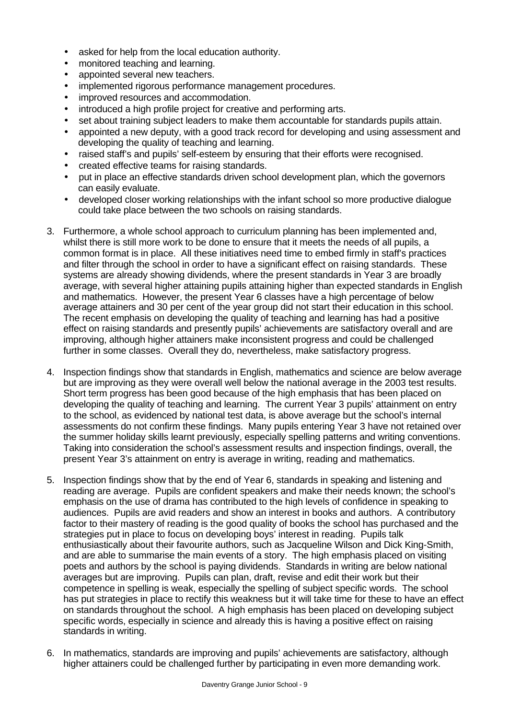- asked for help from the local education authority.
- monitored teaching and learning.
- appointed several new teachers.
- implemented rigorous performance management procedures.
- improved resources and accommodation.
- introduced a high profile project for creative and performing arts.
- set about training subject leaders to make them accountable for standards pupils attain.
- appointed a new deputy, with a good track record for developing and using assessment and developing the quality of teaching and learning.
- raised staff's and pupils' self-esteem by ensuring that their efforts were recognised.
- created effective teams for raising standards.
- put in place an effective standards driven school development plan, which the governors can easily evaluate.
- developed closer working relationships with the infant school so more productive dialogue could take place between the two schools on raising standards.
- 3. Furthermore, a whole school approach to curriculum planning has been implemented and, whilst there is still more work to be done to ensure that it meets the needs of all pupils, a common format is in place. All these initiatives need time to embed firmly in staff's practices and filter through the school in order to have a significant effect on raising standards. These systems are already showing dividends, where the present standards in Year 3 are broadly average, with several higher attaining pupils attaining higher than expected standards in English and mathematics. However, the present Year 6 classes have a high percentage of below average attainers and 30 per cent of the year group did not start their education in this school. The recent emphasis on developing the quality of teaching and learning has had a positive effect on raising standards and presently pupils' achievements are satisfactory overall and are improving, although higher attainers make inconsistent progress and could be challenged further in some classes. Overall they do, nevertheless, make satisfactory progress.
- 4. Inspection findings show that standards in English, mathematics and science are below average but are improving as they were overall well below the national average in the 2003 test results. Short term progress has been good because of the high emphasis that has been placed on developing the quality of teaching and learning. The current Year 3 pupils' attainment on entry to the school, as evidenced by national test data, is above average but the school's internal assessments do not confirm these findings. Many pupils entering Year 3 have not retained over the summer holiday skills learnt previously, especially spelling patterns and writing conventions. Taking into consideration the school's assessment results and inspection findings, overall, the present Year 3's attainment on entry is average in writing, reading and mathematics.
- 5. Inspection findings show that by the end of Year 6, standards in speaking and listening and reading are average. Pupils are confident speakers and make their needs known; the school's emphasis on the use of drama has contributed to the high levels of confidence in speaking to audiences. Pupils are avid readers and show an interest in books and authors. A contributory factor to their mastery of reading is the good quality of books the school has purchased and the strategies put in place to focus on developing boys' interest in reading. Pupils talk enthusiastically about their favourite authors, such as Jacqueline Wilson and Dick King-Smith, and are able to summarise the main events of a story. The high emphasis placed on visiting poets and authors by the school is paying dividends. Standards in writing are below national averages but are improving. Pupils can plan, draft, revise and edit their work but their competence in spelling is weak, especially the spelling of subject specific words. The school has put strategies in place to rectify this weakness but it will take time for these to have an effect on standards throughout the school. A high emphasis has been placed on developing subject specific words, especially in science and already this is having a positive effect on raising standards in writing.
- 6. In mathematics, standards are improving and pupils' achievements are satisfactory, although higher attainers could be challenged further by participating in even more demanding work.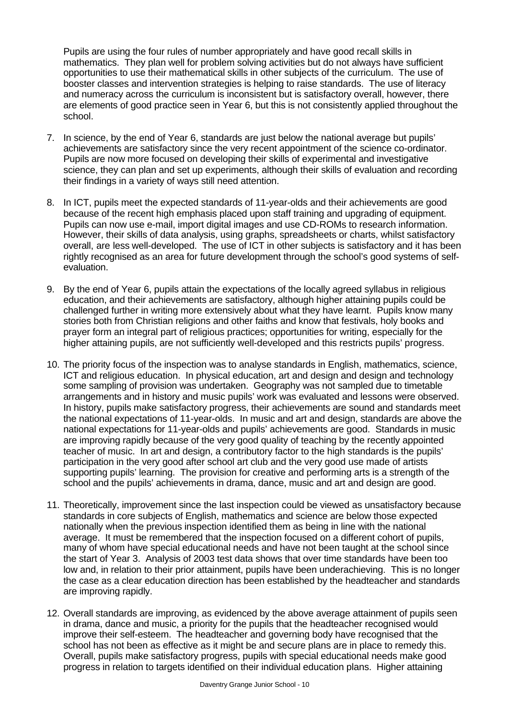Pupils are using the four rules of number appropriately and have good recall skills in mathematics. They plan well for problem solving activities but do not always have sufficient opportunities to use their mathematical skills in other subjects of the curriculum. The use of booster classes and intervention strategies is helping to raise standards. The use of literacy and numeracy across the curriculum is inconsistent but is satisfactory overall, however, there are elements of good practice seen in Year 6, but this is not consistently applied throughout the school.

- 7. In science, by the end of Year 6, standards are just below the national average but pupils' achievements are satisfactory since the very recent appointment of the science co-ordinator. Pupils are now more focused on developing their skills of experimental and investigative science, they can plan and set up experiments, although their skills of evaluation and recording their findings in a variety of ways still need attention.
- 8. In ICT, pupils meet the expected standards of 11-year-olds and their achievements are good because of the recent high emphasis placed upon staff training and upgrading of equipment. Pupils can now use e-mail, import digital images and use CD-ROMs to research information. However, their skills of data analysis, using graphs, spreadsheets or charts, whilst satisfactory overall, are less well-developed. The use of ICT in other subjects is satisfactory and it has been rightly recognised as an area for future development through the school's good systems of selfevaluation.
- 9. By the end of Year 6, pupils attain the expectations of the locally agreed syllabus in religious education, and their achievements are satisfactory, although higher attaining pupils could be challenged further in writing more extensively about what they have learnt. Pupils know many stories both from Christian religions and other faiths and know that festivals, holy books and prayer form an integral part of religious practices; opportunities for writing, especially for the higher attaining pupils, are not sufficiently well-developed and this restricts pupils' progress.
- 10. The priority focus of the inspection was to analyse standards in English, mathematics, science, ICT and religious education. In physical education, art and design and design and technology some sampling of provision was undertaken. Geography was not sampled due to timetable arrangements and in history and music pupils' work was evaluated and lessons were observed. In history, pupils make satisfactory progress, their achievements are sound and standards meet the national expectations of 11-year-olds. In music and art and design, standards are above the national expectations for 11-year-olds and pupils' achievements are good. Standards in music are improving rapidly because of the very good quality of teaching by the recently appointed teacher of music. In art and design, a contributory factor to the high standards is the pupils' participation in the very good after school art club and the very good use made of artists supporting pupils' learning. The provision for creative and performing arts is a strength of the school and the pupils' achievements in drama, dance, music and art and design are good.
- 11. Theoretically, improvement since the last inspection could be viewed as unsatisfactory because standards in core subjects of English, mathematics and science are below those expected nationally when the previous inspection identified them as being in line with the national average. It must be remembered that the inspection focused on a different cohort of pupils, many of whom have special educational needs and have not been taught at the school since the start of Year 3. Analysis of 2003 test data shows that over time standards have been too low and, in relation to their prior attainment, pupils have been underachieving. This is no longer the case as a clear education direction has been established by the headteacher and standards are improving rapidly.
- 12. Overall standards are improving, as evidenced by the above average attainment of pupils seen in drama, dance and music, a priority for the pupils that the headteacher recognised would improve their self-esteem. The headteacher and governing body have recognised that the school has not been as effective as it might be and secure plans are in place to remedy this. Overall, pupils make satisfactory progress, pupils with special educational needs make good progress in relation to targets identified on their individual education plans. Higher attaining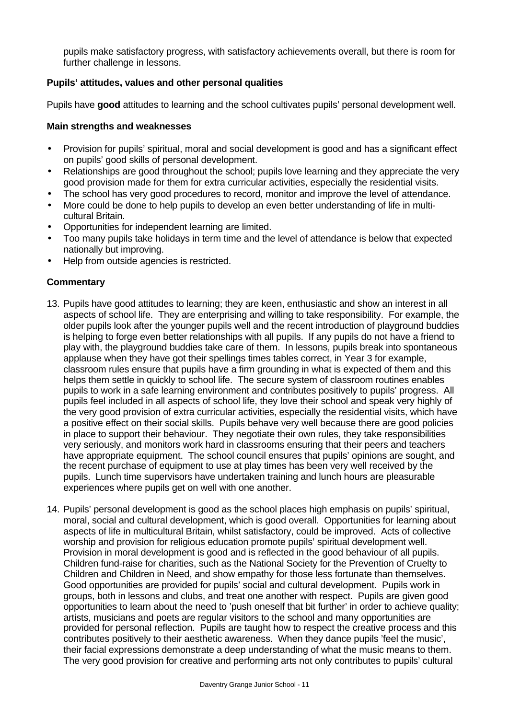pupils make satisfactory progress, with satisfactory achievements overall, but there is room for further challenge in lessons.

## **Pupils' attitudes, values and other personal qualities**

Pupils have **good** attitudes to learning and the school cultivates pupils' personal development well.

#### **Main strengths and weaknesses**

- Provision for pupils' spiritual, moral and social development is good and has a significant effect on pupils' good skills of personal development.
- Relationships are good throughout the school; pupils love learning and they appreciate the very good provision made for them for extra curricular activities, especially the residential visits.
- The school has very good procedures to record, monitor and improve the level of attendance.
- More could be done to help pupils to develop an even better understanding of life in multicultural Britain.
- Opportunities for independent learning are limited.
- Too many pupils take holidays in term time and the level of attendance is below that expected nationally but improving.
- Help from outside agencies is restricted.

## **Commentary**

- 13. Pupils have good attitudes to learning; they are keen, enthusiastic and show an interest in all aspects of school life. They are enterprising and willing to take responsibility. For example, the older pupils look after the younger pupils well and the recent introduction of playground buddies is helping to forge even better relationships with all pupils. If any pupils do not have a friend to play with, the playground buddies take care of them. In lessons, pupils break into spontaneous applause when they have got their spellings times tables correct, in Year 3 for example, classroom rules ensure that pupils have a firm grounding in what is expected of them and this helps them settle in quickly to school life. The secure system of classroom routines enables pupils to work in a safe learning environment and contributes positively to pupils' progress. All pupils feel included in all aspects of school life, they love their school and speak very highly of the very good provision of extra curricular activities, especially the residential visits, which have a positive effect on their social skills. Pupils behave very well because there are good policies in place to support their behaviour. They negotiate their own rules, they take responsibilities very seriously, and monitors work hard in classrooms ensuring that their peers and teachers have appropriate equipment. The school council ensures that pupils' opinions are sought, and the recent purchase of equipment to use at play times has been very well received by the pupils. Lunch time supervisors have undertaken training and lunch hours are pleasurable experiences where pupils get on well with one another.
- 14. Pupils' personal development is good as the school places high emphasis on pupils' spiritual, moral, social and cultural development, which is good overall. Opportunities for learning about aspects of life in multicultural Britain, whilst satisfactory, could be improved. Acts of collective worship and provision for religious education promote pupils' spiritual development well. Provision in moral development is good and is reflected in the good behaviour of all pupils. Children fund-raise for charities, such as the National Society for the Prevention of Cruelty to Children and Children in Need, and show empathy for those less fortunate than themselves. Good opportunities are provided for pupils' social and cultural development. Pupils work in groups, both in lessons and clubs, and treat one another with respect. Pupils are given good opportunities to learn about the need to 'push oneself that bit further' in order to achieve quality; artists, musicians and poets are regular visitors to the school and many opportunities are provided for personal reflection. Pupils are taught how to respect the creative process and this contributes positively to their aesthetic awareness. When they dance pupils 'feel the music', their facial expressions demonstrate a deep understanding of what the music means to them. The very good provision for creative and performing arts not only contributes to pupils' cultural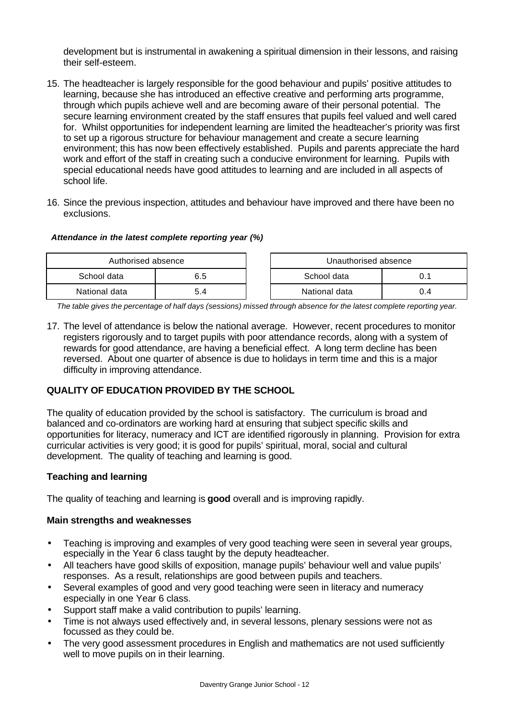development but is instrumental in awakening a spiritual dimension in their lessons, and raising their self-esteem.

- 15. The headteacher is largely responsible for the good behaviour and pupils' positive attitudes to learning, because she has introduced an effective creative and performing arts programme, through which pupils achieve well and are becoming aware of their personal potential. The secure learning environment created by the staff ensures that pupils feel valued and well cared for. Whilst opportunities for independent learning are limited the headteacher's priority was first to set up a rigorous structure for behaviour management and create a secure learning environment; this has now been effectively established. Pupils and parents appreciate the hard work and effort of the staff in creating such a conducive environment for learning. Pupils with special educational needs have good attitudes to learning and are included in all aspects of school life.
- 16. Since the previous inspection, attitudes and behaviour have improved and there have been no exclusions.

#### *Attendance in the latest complete reporting year (%)*

| Authorised absence |     | Unauthorised absence |               |     |
|--------------------|-----|----------------------|---------------|-----|
| School data        | 6.5 |                      | School data   |     |
| National data      |     |                      | National data | 0.4 |

*The table gives the percentage of half days (sessions) missed through absence for the latest complete reporting year.*

17. The level of attendance is below the national average. However, recent procedures to monitor registers rigorously and to target pupils with poor attendance records, along with a system of rewards for good attendance, are having a beneficial effect. A long term decline has been reversed. About one quarter of absence is due to holidays in term time and this is a major difficulty in improving attendance.

# **QUALITY OF EDUCATION PROVIDED BY THE SCHOOL**

The quality of education provided by the school is satisfactory. The curriculum is broad and balanced and co-ordinators are working hard at ensuring that subject specific skills and opportunities for literacy, numeracy and ICT are identified rigorously in planning. Provision for extra curricular activities is very good; it is good for pupils' spiritual, moral, social and cultural development. The quality of teaching and learning is good.

# **Teaching and learning**

The quality of teaching and learning is **good** overall and is improving rapidly.

#### **Main strengths and weaknesses**

- Teaching is improving and examples of very good teaching were seen in several year groups, especially in the Year 6 class taught by the deputy headteacher.
- All teachers have good skills of exposition, manage pupils' behaviour well and value pupils' responses. As a result, relationships are good between pupils and teachers.
- Several examples of good and very good teaching were seen in literacy and numeracy especially in one Year 6 class.
- Support staff make a valid contribution to pupils' learning.
- Time is not always used effectively and, in several lessons, plenary sessions were not as focussed as they could be.
- The very good assessment procedures in English and mathematics are not used sufficiently well to move pupils on in their learning.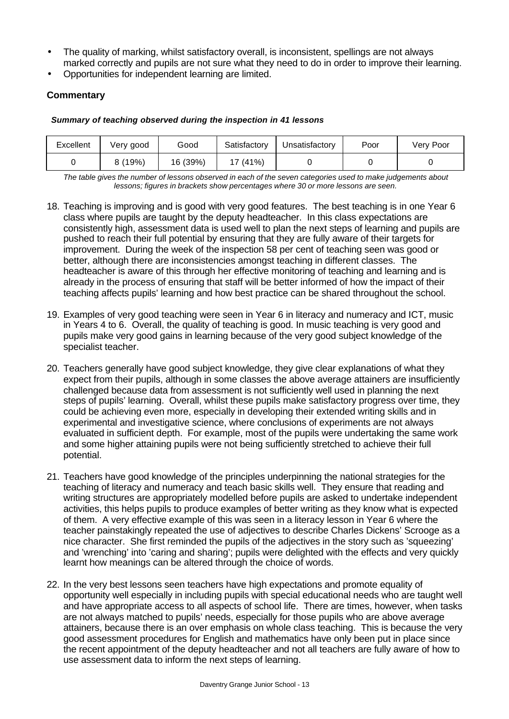- The quality of marking, whilst satisfactory overall, is inconsistent, spellings are not always marked correctly and pupils are not sure what they need to do in order to improve their learning.
- Opportunities for independent learning are limited.

## **Commentary**

#### *Summary of teaching observed during the inspection in 41 lessons*

| Excellent | Very good | Good     | Satisfactory | Unsatisfactory | Poor | Verv Poor |
|-----------|-----------|----------|--------------|----------------|------|-----------|
|           | 8(19%)    | 16 (39%) | 17 (41%)     |                |      |           |

*The table gives the number of lessons observed in each of the seven categories used to make judgements about lessons; figures in brackets show percentages where 30 or more lessons are seen.*

- 18. Teaching is improving and is good with very good features. The best teaching is in one Year 6 class where pupils are taught by the deputy headteacher. In this class expectations are consistently high, assessment data is used well to plan the next steps of learning and pupils are pushed to reach their full potential by ensuring that they are fully aware of their targets for improvement. During the week of the inspection 58 per cent of teaching seen was good or better, although there are inconsistencies amongst teaching in different classes. The headteacher is aware of this through her effective monitoring of teaching and learning and is already in the process of ensuring that staff will be better informed of how the impact of their teaching affects pupils' learning and how best practice can be shared throughout the school.
- 19. Examples of very good teaching were seen in Year 6 in literacy and numeracy and ICT, music in Years 4 to 6. Overall, the quality of teaching is good. In music teaching is very good and pupils make very good gains in learning because of the very good subject knowledge of the specialist teacher.
- 20. Teachers generally have good subject knowledge, they give clear explanations of what they expect from their pupils, although in some classes the above average attainers are insufficiently challenged because data from assessment is not sufficiently well used in planning the next steps of pupils' learning. Overall, whilst these pupils make satisfactory progress over time, they could be achieving even more, especially in developing their extended writing skills and in experimental and investigative science, where conclusions of experiments are not always evaluated in sufficient depth. For example, most of the pupils were undertaking the same work and some higher attaining pupils were not being sufficiently stretched to achieve their full potential.
- 21. Teachers have good knowledge of the principles underpinning the national strategies for the teaching of literacy and numeracy and teach basic skills well. They ensure that reading and writing structures are appropriately modelled before pupils are asked to undertake independent activities, this helps pupils to produce examples of better writing as they know what is expected of them. A very effective example of this was seen in a literacy lesson in Year 6 where the teacher painstakingly repeated the use of adjectives to describe Charles Dickens' Scrooge as a nice character. She first reminded the pupils of the adjectives in the story such as 'squeezing' and 'wrenching' into 'caring and sharing'; pupils were delighted with the effects and very quickly learnt how meanings can be altered through the choice of words.
- 22. In the very best lessons seen teachers have high expectations and promote equality of opportunity well especially in including pupils with special educational needs who are taught well and have appropriate access to all aspects of school life. There are times, however, when tasks are not always matched to pupils' needs, especially for those pupils who are above average attainers, because there is an over emphasis on whole class teaching. This is because the very good assessment procedures for English and mathematics have only been put in place since the recent appointment of the deputy headteacher and not all teachers are fully aware of how to use assessment data to inform the next steps of learning.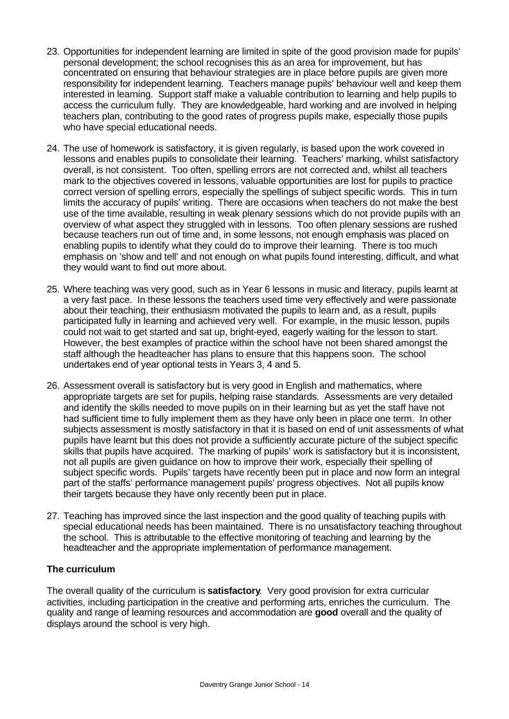- 23. Opportunities for independent learning are limited in spite of the good provision made for pupils' personal development; the school recognises this as an area for improvement, but has concentrated on ensuring that behaviour strategies are in place before pupils are given more responsibility for independent learning. Teachers manage pupils' behaviour well and keep them interested in learning. Support staff make a valuable contribution to learning and help pupils to access the curriculum fully. They are knowledgeable, hard working and are involved in helping teachers plan, contributing to the good rates of progress pupils make, especially those pupils who have special educational needs.
- 24. The use of homework is satisfactory, it is given regularly, is based upon the work covered in lessons and enables pupils to consolidate their learning. Teachers' marking, whilst satisfactory overall, is not consistent. Too often, spelling errors are not corrected and, whilst all teachers mark to the objectives covered in lessons, valuable opportunities are lost for pupils to practice correct version of spelling errors, especially the spellings of subject specific words. This in turn limits the accuracy of pupils' writing. There are occasions when teachers do not make the best use of the time available, resulting in weak plenary sessions which do not provide pupils with an overview of what aspect they struggled with in lessons. Too often plenary sessions are rushed because teachers run out of time and, in some lessons, not enough emphasis was placed on enabling pupils to identify what they could do to improve their learning. There is too much emphasis on 'show and tell' and not enough on what pupils found interesting, difficult, and what they would want to find out more about.
- 25. Where teaching was very good, such as in Year 6 lessons in music and literacy, pupils learnt at a very fast pace. In these lessons the teachers used time very effectively and were passionate about their teaching, their enthusiasm motivated the pupils to learn and, as a result, pupils participated fully in learning and achieved very well. For example, in the music lesson, pupils could not wait to get started and sat up, bright-eyed, eagerly waiting for the lesson to start. However, the best examples of practice within the school have not been shared amongst the staff although the headteacher has plans to ensure that this happens soon. The school undertakes end of year optional tests in Years 3, 4 and 5.
- 26. Assessment overall is satisfactory but is very good in English and mathematics, where appropriate targets are set for pupils, helping raise standards. Assessments are very detailed and identify the skills needed to move pupils on in their learning but as yet the staff have not had sufficient time to fully implement them as they have only been in place one term. In other subjects assessment is mostly satisfactory in that it is based on end of unit assessments of what pupils have learnt but this does not provide a sufficiently accurate picture of the subject specific skills that pupils have acquired. The marking of pupils' work is satisfactory but it is inconsistent, not all pupils are given guidance on how to improve their work, especially their spelling of subject specific words. Pupils' targets have recently been put in place and now form an integral part of the staffs' performance management pupils' progress objectives. Not all pupils know their targets because they have only recently been put in place.
- 27. Teaching has improved since the last inspection and the good quality of teaching pupils with special educational needs has been maintained. There is no unsatisfactory teaching throughout the school. This is attributable to the effective monitoring of teaching and learning by the headteacher and the appropriate implementation of performance management.

#### **The curriculum**

The overall quality of the curriculum is **satisfactory**. Very good provision for extra curricular activities, including participation in the creative and performing arts, enriches the curriculum. The quality and range of learning resources and accommodation are **good** overall and the quality of displays around the school is very high.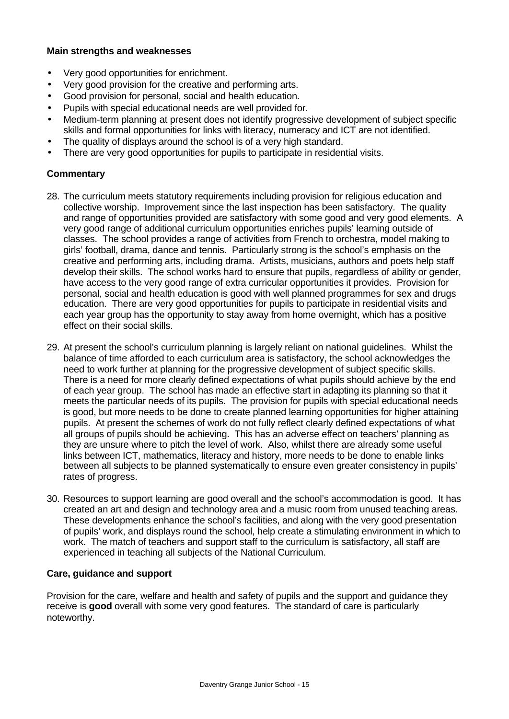#### **Main strengths and weaknesses**

- Very good opportunities for enrichment.
- Very good provision for the creative and performing arts.
- Good provision for personal, social and health education.
- Pupils with special educational needs are well provided for.
- Medium-term planning at present does not identify progressive development of subject specific skills and formal opportunities for links with literacy, numeracy and ICT are not identified.
- The quality of displays around the school is of a very high standard.
- There are very good opportunities for pupils to participate in residential visits.

## **Commentary**

- 28. The curriculum meets statutory requirements including provision for religious education and collective worship. Improvement since the last inspection has been satisfactory. The quality and range of opportunities provided are satisfactory with some good and very good elements. A very good range of additional curriculum opportunities enriches pupils' learning outside of classes. The school provides a range of activities from French to orchestra, model making to girls' football, drama, dance and tennis. Particularly strong is the school's emphasis on the creative and performing arts, including drama. Artists, musicians, authors and poets help staff develop their skills. The school works hard to ensure that pupils, regardless of ability or gender, have access to the very good range of extra curricular opportunities it provides. Provision for personal, social and health education is good with well planned programmes for sex and drugs education. There are very good opportunities for pupils to participate in residential visits and each year group has the opportunity to stay away from home overnight, which has a positive effect on their social skills.
- 29. At present the school's curriculum planning is largely reliant on national guidelines. Whilst the balance of time afforded to each curriculum area is satisfactory, the school acknowledges the need to work further at planning for the progressive development of subject specific skills. There is a need for more clearly defined expectations of what pupils should achieve by the end of each year group. The school has made an effective start in adapting its planning so that it meets the particular needs of its pupils. The provision for pupils with special educational needs is good, but more needs to be done to create planned learning opportunities for higher attaining pupils. At present the schemes of work do not fully reflect clearly defined expectations of what all groups of pupils should be achieving. This has an adverse effect on teachers' planning as they are unsure where to pitch the level of work. Also, whilst there are already some useful links between ICT, mathematics, literacy and history, more needs to be done to enable links between all subjects to be planned systematically to ensure even greater consistency in pupils' rates of progress.
- 30. Resources to support learning are good overall and the school's accommodation is good. It has created an art and design and technology area and a music room from unused teaching areas. These developments enhance the school's facilities, and along with the very good presentation of pupils' work, and displays round the school, help create a stimulating environment in which to work. The match of teachers and support staff to the curriculum is satisfactory, all staff are experienced in teaching all subjects of the National Curriculum.

#### **Care, guidance and support**

Provision for the care, welfare and health and safety of pupils and the support and guidance they receive is **good** overall with some very good features. The standard of care is particularly noteworthy.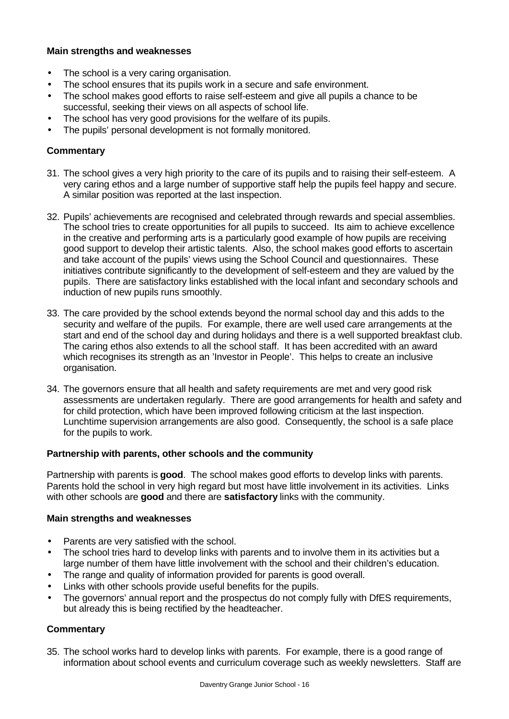### **Main strengths and weaknesses**

- The school is a very caring organisation.
- The school ensures that its pupils work in a secure and safe environment.
- The school makes good efforts to raise self-esteem and give all pupils a chance to be successful, seeking their views on all aspects of school life.
- The school has very good provisions for the welfare of its pupils.
- The pupils' personal development is not formally monitored.

## **Commentary**

- 31. The school gives a very high priority to the care of its pupils and to raising their self-esteem. A very caring ethos and a large number of supportive staff help the pupils feel happy and secure. A similar position was reported at the last inspection.
- 32. Pupils' achievements are recognised and celebrated through rewards and special assemblies. The school tries to create opportunities for all pupils to succeed. Its aim to achieve excellence in the creative and performing arts is a particularly good example of how pupils are receiving good support to develop their artistic talents. Also, the school makes good efforts to ascertain and take account of the pupils' views using the School Council and questionnaires. These initiatives contribute significantly to the development of self-esteem and they are valued by the pupils. There are satisfactory links established with the local infant and secondary schools and induction of new pupils runs smoothly.
- 33. The care provided by the school extends beyond the normal school day and this adds to the security and welfare of the pupils. For example, there are well used care arrangements at the start and end of the school day and during holidays and there is a well supported breakfast club. The caring ethos also extends to all the school staff. It has been accredited with an award which recognises its strength as an 'Investor in People'. This helps to create an inclusive organisation.
- 34. The governors ensure that all health and safety requirements are met and very good risk assessments are undertaken regularly. There are good arrangements for health and safety and for child protection, which have been improved following criticism at the last inspection. Lunchtime supervision arrangements are also good. Consequently, the school is a safe place for the pupils to work.

### **Partnership with parents, other schools and the community**

Partnership with parents is **good**. The school makes good efforts to develop links with parents. Parents hold the school in very high regard but most have little involvement in its activities. Links with other schools are **good** and there are **satisfactory** links with the community.

### **Main strengths and weaknesses**

- Parents are very satisfied with the school.
- The school tries hard to develop links with parents and to involve them in its activities but a large number of them have little involvement with the school and their children's education.
- The range and quality of information provided for parents is good overall.
- Links with other schools provide useful benefits for the pupils.
- The governors' annual report and the prospectus do not comply fully with DfES requirements, but already this is being rectified by the headteacher.

#### **Commentary**

35. The school works hard to develop links with parents. For example, there is a good range of information about school events and curriculum coverage such as weekly newsletters. Staff are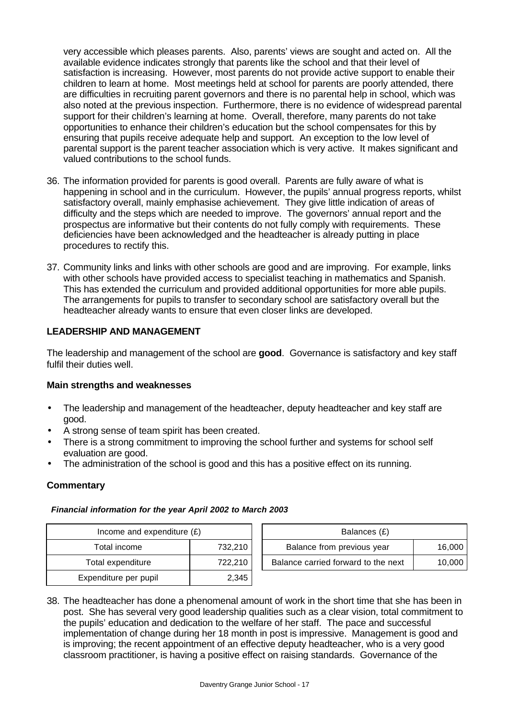very accessible which pleases parents. Also, parents' views are sought and acted on. All the available evidence indicates strongly that parents like the school and that their level of satisfaction is increasing. However, most parents do not provide active support to enable their children to learn at home. Most meetings held at school for parents are poorly attended, there are difficulties in recruiting parent governors and there is no parental help in school, which was also noted at the previous inspection. Furthermore, there is no evidence of widespread parental support for their children's learning at home. Overall, therefore, many parents do not take opportunities to enhance their children's education but the school compensates for this by ensuring that pupils receive adequate help and support. An exception to the low level of parental support is the parent teacher association which is very active. It makes significant and valued contributions to the school funds.

- 36. The information provided for parents is good overall. Parents are fully aware of what is happening in school and in the curriculum. However, the pupils' annual progress reports, whilst satisfactory overall, mainly emphasise achievement. They give little indication of areas of difficulty and the steps which are needed to improve. The governors' annual report and the prospectus are informative but their contents do not fully comply with requirements. These deficiencies have been acknowledged and the headteacher is already putting in place procedures to rectify this.
- 37. Community links and links with other schools are good and are improving. For example, links with other schools have provided access to specialist teaching in mathematics and Spanish. This has extended the curriculum and provided additional opportunities for more able pupils. The arrangements for pupils to transfer to secondary school are satisfactory overall but the headteacher already wants to ensure that even closer links are developed.

## **LEADERSHIP AND MANAGEMENT**

The leadership and management of the school are **good**. Governance is satisfactory and key staff fulfil their duties well.

#### **Main strengths and weaknesses**

- The leadership and management of the headteacher, deputy headteacher and key staff are good.
- A strong sense of team spirit has been created.
- There is a strong commitment to improving the school further and systems for school self evaluation are good.
- The administration of the school is good and this has a positive effect on its running.

#### **Commentary**

#### *Financial information for the year April 2002 to March 2003*

| Income and expenditure $(E)$ |         | Balances (£)                   |  |
|------------------------------|---------|--------------------------------|--|
| Total income                 | 732,210 | Balance from previous year     |  |
| Total expenditure            | 722.210 | Balance carried forward to the |  |
| Expenditure per pupil        | 2.345   |                                |  |

| Income and expenditure $(E)$ |         | Balances (£)                        |        |
|------------------------------|---------|-------------------------------------|--------|
| Total income                 | 732.210 | Balance from previous year          | 16,000 |
| Total expenditure            | 722.210 | Balance carried forward to the next | 10,000 |
|                              |         |                                     |        |

38. The headteacher has done a phenomenal amount of work in the short time that she has been in post. She has several very good leadership qualities such as a clear vision, total commitment to the pupils' education and dedication to the welfare of her staff. The pace and successful implementation of change during her 18 month in post is impressive. Management is good and is improving; the recent appointment of an effective deputy headteacher, who is a very good classroom practitioner, is having a positive effect on raising standards. Governance of the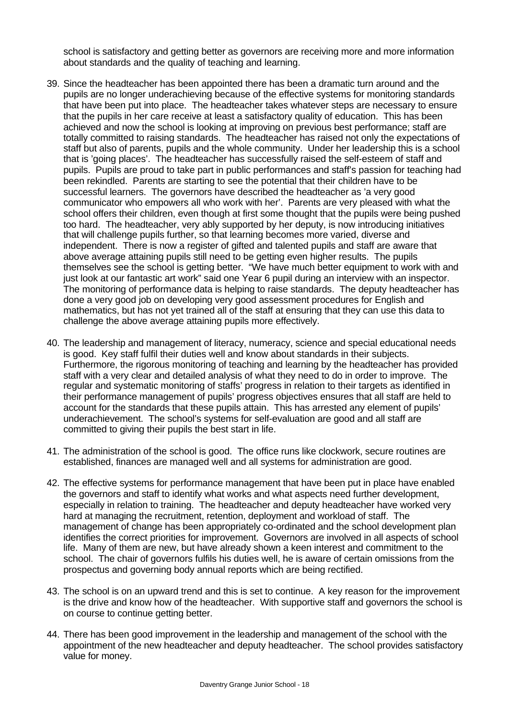school is satisfactory and getting better as governors are receiving more and more information about standards and the quality of teaching and learning.

- 39. Since the headteacher has been appointed there has been a dramatic turn around and the pupils are no longer underachieving because of the effective systems for monitoring standards that have been put into place. The headteacher takes whatever steps are necessary to ensure that the pupils in her care receive at least a satisfactory quality of education. This has been achieved and now the school is looking at improving on previous best performance; staff are totally committed to raising standards. The headteacher has raised not only the expectations of staff but also of parents, pupils and the whole community. Under her leadership this is a school that is 'going places'. The headteacher has successfully raised the self-esteem of staff and pupils. Pupils are proud to take part in public performances and staff's passion for teaching had been rekindled. Parents are starting to see the potential that their children have to be successful learners. The governors have described the headteacher as 'a very good communicator who empowers all who work with her'. Parents are very pleased with what the school offers their children, even though at first some thought that the pupils were being pushed too hard. The headteacher, very ably supported by her deputy, is now introducing initiatives that will challenge pupils further, so that learning becomes more varied, diverse and independent. There is now a register of gifted and talented pupils and staff are aware that above average attaining pupils still need to be getting even higher results. The pupils themselves see the school is getting better. "We have much better equipment to work with and just look at our fantastic art work" said one Year 6 pupil during an interview with an inspector. The monitoring of performance data is helping to raise standards. The deputy headteacher has done a very good job on developing very good assessment procedures for English and mathematics, but has not yet trained all of the staff at ensuring that they can use this data to challenge the above average attaining pupils more effectively.
- 40. The leadership and management of literacy, numeracy, science and special educational needs is good. Key staff fulfil their duties well and know about standards in their subjects. Furthermore, the rigorous monitoring of teaching and learning by the headteacher has provided staff with a very clear and detailed analysis of what they need to do in order to improve. The regular and systematic monitoring of staffs' progress in relation to their targets as identified in their performance management of pupils' progress objectives ensures that all staff are held to account for the standards that these pupils attain. This has arrested any element of pupils' underachievement. The school's systems for self-evaluation are good and all staff are committed to giving their pupils the best start in life.
- 41. The administration of the school is good. The office runs like clockwork, secure routines are established, finances are managed well and all systems for administration are good.
- 42. The effective systems for performance management that have been put in place have enabled the governors and staff to identify what works and what aspects need further development, especially in relation to training. The headteacher and deputy headteacher have worked very hard at managing the recruitment, retention, deployment and workload of staff. The management of change has been appropriately co-ordinated and the school development plan identifies the correct priorities for improvement. Governors are involved in all aspects of school life. Many of them are new, but have already shown a keen interest and commitment to the school. The chair of governors fulfils his duties well, he is aware of certain omissions from the prospectus and governing body annual reports which are being rectified.
- 43. The school is on an upward trend and this is set to continue. A key reason for the improvement is the drive and know how of the headteacher. With supportive staff and governors the school is on course to continue getting better.
- 44. There has been good improvement in the leadership and management of the school with the appointment of the new headteacher and deputy headteacher. The school provides satisfactory value for money.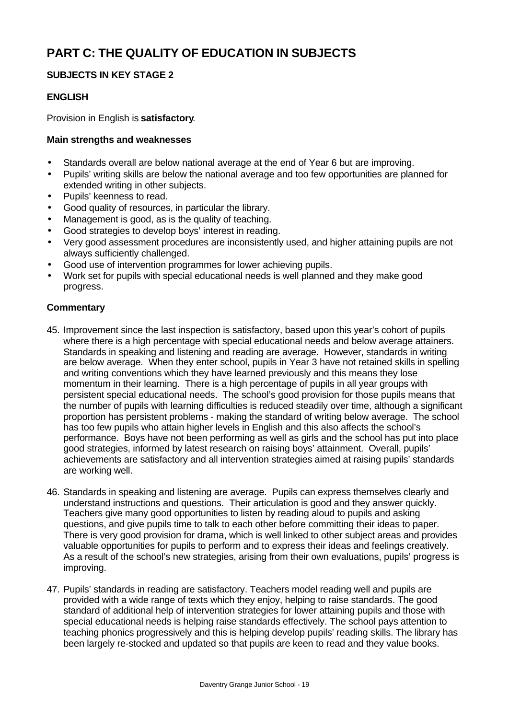# **PART C: THE QUALITY OF EDUCATION IN SUBJECTS**

## **SUBJECTS IN KEY STAGE 2**

## **ENGLISH**

Provision in English is **satisfactory**.

#### **Main strengths and weaknesses**

- Standards overall are below national average at the end of Year 6 but are improving.
- Pupils' writing skills are below the national average and too few opportunities are planned for extended writing in other subjects.
- Pupils' keenness to read.
- Good quality of resources, in particular the library.
- Management is good, as is the quality of teaching.
- Good strategies to develop boys' interest in reading.
- Very good assessment procedures are inconsistently used, and higher attaining pupils are not always sufficiently challenged.
- Good use of intervention programmes for lower achieving pupils.
- Work set for pupils with special educational needs is well planned and they make good progress.

#### **Commentary**

- 45. Improvement since the last inspection is satisfactory, based upon this year's cohort of pupils where there is a high percentage with special educational needs and below average attainers. Standards in speaking and listening and reading are average. However, standards in writing are below average. When they enter school, pupils in Year 3 have not retained skills in spelling and writing conventions which they have learned previously and this means they lose momentum in their learning. There is a high percentage of pupils in all year groups with persistent special educational needs. The school's good provision for those pupils means that the number of pupils with learning difficulties is reduced steadily over time, although a significant proportion has persistent problems - making the standard of writing below average. The school has too few pupils who attain higher levels in English and this also affects the school's performance. Boys have not been performing as well as girls and the school has put into place good strategies, informed by latest research on raising boys' attainment. Overall, pupils' achievements are satisfactory and all intervention strategies aimed at raising pupils' standards are working well.
- 46. Standards in speaking and listening are average. Pupils can express themselves clearly and understand instructions and questions. Their articulation is good and they answer quickly. Teachers give many good opportunities to listen by reading aloud to pupils and asking questions, and give pupils time to talk to each other before committing their ideas to paper. There is very good provision for drama, which is well linked to other subject areas and provides valuable opportunities for pupils to perform and to express their ideas and feelings creatively. As a result of the school's new strategies, arising from their own evaluations, pupils' progress is improving.
- 47. Pupils' standards in reading are satisfactory. Teachers model reading well and pupils are provided with a wide range of texts which they enjoy, helping to raise standards. The good standard of additional help of intervention strategies for lower attaining pupils and those with special educational needs is helping raise standards effectively. The school pays attention to teaching phonics progressively and this is helping develop pupils' reading skills. The library has been largely re-stocked and updated so that pupils are keen to read and they value books.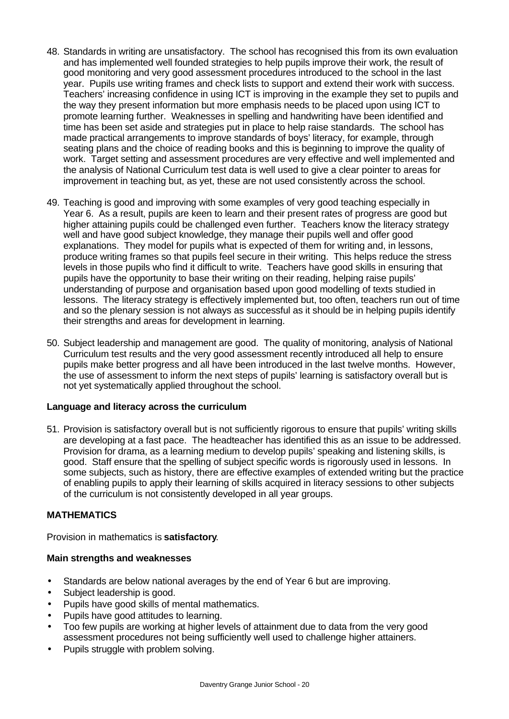- 48. Standards in writing are unsatisfactory. The school has recognised this from its own evaluation and has implemented well founded strategies to help pupils improve their work, the result of good monitoring and very good assessment procedures introduced to the school in the last year. Pupils use writing frames and check lists to support and extend their work with success. Teachers' increasing confidence in using ICT is improving in the example they set to pupils and the way they present information but more emphasis needs to be placed upon using ICT to promote learning further. Weaknesses in spelling and handwriting have been identified and time has been set aside and strategies put in place to help raise standards. The school has made practical arrangements to improve standards of boys' literacy, for example, through seating plans and the choice of reading books and this is beginning to improve the quality of work. Target setting and assessment procedures are very effective and well implemented and the analysis of National Curriculum test data is well used to give a clear pointer to areas for improvement in teaching but, as yet, these are not used consistently across the school.
- 49. Teaching is good and improving with some examples of very good teaching especially in Year 6. As a result, pupils are keen to learn and their present rates of progress are good but higher attaining pupils could be challenged even further. Teachers know the literacy strategy well and have good subject knowledge, they manage their pupils well and offer good explanations. They model for pupils what is expected of them for writing and, in lessons, produce writing frames so that pupils feel secure in their writing. This helps reduce the stress levels in those pupils who find it difficult to write. Teachers have good skills in ensuring that pupils have the opportunity to base their writing on their reading, helping raise pupils' understanding of purpose and organisation based upon good modelling of texts studied in lessons. The literacy strategy is effectively implemented but, too often, teachers run out of time and so the plenary session is not always as successful as it should be in helping pupils identify their strengths and areas for development in learning.
- 50. Subject leadership and management are good. The quality of monitoring, analysis of National Curriculum test results and the very good assessment recently introduced all help to ensure pupils make better progress and all have been introduced in the last twelve months. However, the use of assessment to inform the next steps of pupils' learning is satisfactory overall but is not yet systematically applied throughout the school.

#### **Language and literacy across the curriculum**

51. Provision is satisfactory overall but is not sufficiently rigorous to ensure that pupils' writing skills are developing at a fast pace. The headteacher has identified this as an issue to be addressed. Provision for drama, as a learning medium to develop pupils' speaking and listening skills, is good. Staff ensure that the spelling of subject specific words is rigorously used in lessons. In some subjects, such as history, there are effective examples of extended writing but the practice of enabling pupils to apply their learning of skills acquired in literacy sessions to other subjects of the curriculum is not consistently developed in all year groups.

# **MATHEMATICS**

Provision in mathematics is **satisfactory**.

#### **Main strengths and weaknesses**

- Standards are below national averages by the end of Year 6 but are improving.
- Subject leadership is good.
- Pupils have good skills of mental mathematics.
- Pupils have good attitudes to learning.
- Too few pupils are working at higher levels of attainment due to data from the very good assessment procedures not being sufficiently well used to challenge higher attainers.
- Pupils struggle with problem solving.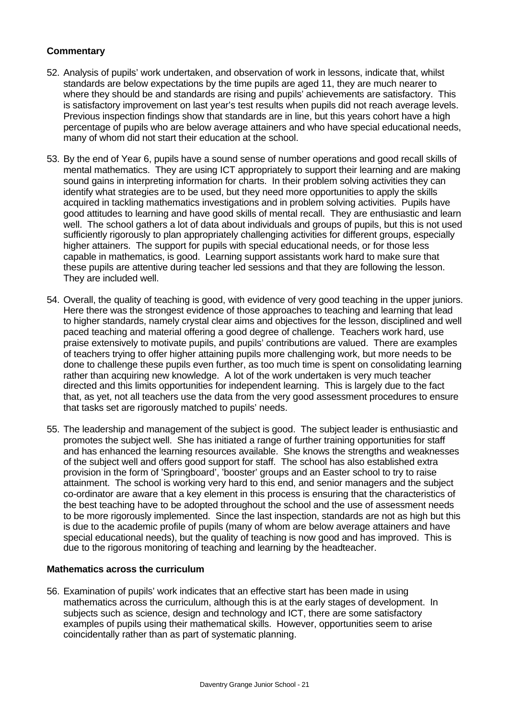## **Commentary**

- 52. Analysis of pupils' work undertaken, and observation of work in lessons, indicate that, whilst standards are below expectations by the time pupils are aged 11, they are much nearer to where they should be and standards are rising and pupils' achievements are satisfactory. This is satisfactory improvement on last year's test results when pupils did not reach average levels. Previous inspection findings show that standards are in line, but this years cohort have a high percentage of pupils who are below average attainers and who have special educational needs, many of whom did not start their education at the school.
- 53. By the end of Year 6, pupils have a sound sense of number operations and good recall skills of mental mathematics. They are using ICT appropriately to support their learning and are making sound gains in interpreting information for charts. In their problem solving activities they can identify what strategies are to be used, but they need more opportunities to apply the skills acquired in tackling mathematics investigations and in problem solving activities. Pupils have good attitudes to learning and have good skills of mental recall. They are enthusiastic and learn well. The school gathers a lot of data about individuals and groups of pupils, but this is not used sufficiently rigorously to plan appropriately challenging activities for different groups, especially higher attainers. The support for pupils with special educational needs, or for those less capable in mathematics, is good. Learning support assistants work hard to make sure that these pupils are attentive during teacher led sessions and that they are following the lesson. They are included well.
- 54. Overall, the quality of teaching is good, with evidence of very good teaching in the upper juniors. Here there was the strongest evidence of those approaches to teaching and learning that lead to higher standards, namely crystal clear aims and objectives for the lesson, disciplined and well paced teaching and material offering a good degree of challenge. Teachers work hard, use praise extensively to motivate pupils, and pupils' contributions are valued. There are examples of teachers trying to offer higher attaining pupils more challenging work, but more needs to be done to challenge these pupils even further, as too much time is spent on consolidating learning rather than acquiring new knowledge. A lot of the work undertaken is very much teacher directed and this limits opportunities for independent learning. This is largely due to the fact that, as yet, not all teachers use the data from the very good assessment procedures to ensure that tasks set are rigorously matched to pupils' needs.
- 55. The leadership and management of the subject is good. The subject leader is enthusiastic and promotes the subject well. She has initiated a range of further training opportunities for staff and has enhanced the learning resources available. She knows the strengths and weaknesses of the subject well and offers good support for staff. The school has also established extra provision in the form of 'Springboard', 'booster' groups and an Easter school to try to raise attainment. The school is working very hard to this end, and senior managers and the subject co-ordinator are aware that a key element in this process is ensuring that the characteristics of the best teaching have to be adopted throughout the school and the use of assessment needs to be more rigorously implemented. Since the last inspection, standards are not as high but this is due to the academic profile of pupils (many of whom are below average attainers and have special educational needs), but the quality of teaching is now good and has improved. This is due to the rigorous monitoring of teaching and learning by the headteacher.

#### **Mathematics across the curriculum**

56. Examination of pupils' work indicates that an effective start has been made in using mathematics across the curriculum, although this is at the early stages of development. In subjects such as science, design and technology and ICT, there are some satisfactory examples of pupils using their mathematical skills. However, opportunities seem to arise coincidentally rather than as part of systematic planning.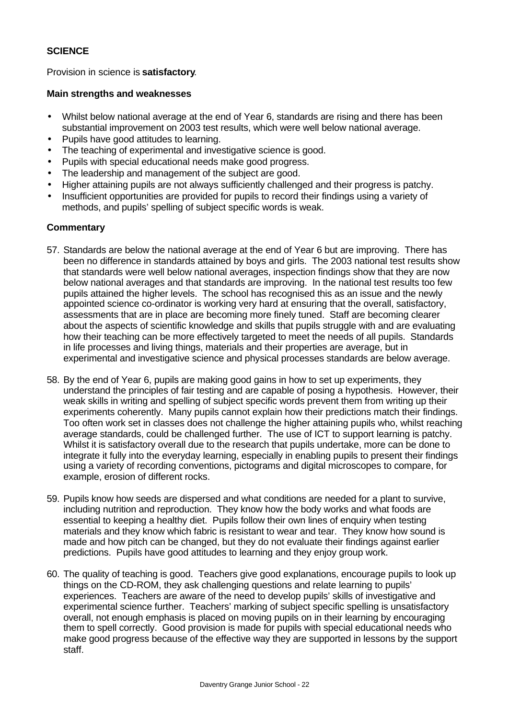## **SCIENCE**

Provision in science is **satisfactory**.

#### **Main strengths and weaknesses**

- Whilst below national average at the end of Year 6, standards are rising and there has been substantial improvement on 2003 test results, which were well below national average.
- Pupils have good attitudes to learning.
- The teaching of experimental and investigative science is good.
- Pupils with special educational needs make good progress.
- The leadership and management of the subject are good.
- Higher attaining pupils are not always sufficiently challenged and their progress is patchy.
- Insufficient opportunities are provided for pupils to record their findings using a variety of methods, and pupils' spelling of subject specific words is weak.

## **Commentary**

- 57. Standards are below the national average at the end of Year 6 but are improving. There has been no difference in standards attained by boys and girls. The 2003 national test results show that standards were well below national averages, inspection findings show that they are now below national averages and that standards are improving. In the national test results too few pupils attained the higher levels. The school has recognised this as an issue and the newly appointed science co-ordinator is working very hard at ensuring that the overall, satisfactory, assessments that are in place are becoming more finely tuned. Staff are becoming clearer about the aspects of scientific knowledge and skills that pupils struggle with and are evaluating how their teaching can be more effectively targeted to meet the needs of all pupils. Standards in life processes and living things, materials and their properties are average, but in experimental and investigative science and physical processes standards are below average.
- 58. By the end of Year 6, pupils are making good gains in how to set up experiments, they understand the principles of fair testing and are capable of posing a hypothesis. However, their weak skills in writing and spelling of subject specific words prevent them from writing up their experiments coherently. Many pupils cannot explain how their predictions match their findings. Too often work set in classes does not challenge the higher attaining pupils who, whilst reaching average standards, could be challenged further. The use of ICT to support learning is patchy. Whilst it is satisfactory overall due to the research that pupils undertake, more can be done to integrate it fully into the everyday learning, especially in enabling pupils to present their findings using a variety of recording conventions, pictograms and digital microscopes to compare, for example, erosion of different rocks.
- 59. Pupils know how seeds are dispersed and what conditions are needed for a plant to survive, including nutrition and reproduction. They know how the body works and what foods are essential to keeping a healthy diet. Pupils follow their own lines of enquiry when testing materials and they know which fabric is resistant to wear and tear. They know how sound is made and how pitch can be changed, but they do not evaluate their findings against earlier predictions. Pupils have good attitudes to learning and they enjoy group work.
- 60. The quality of teaching is good. Teachers give good explanations, encourage pupils to look up things on the CD-ROM, they ask challenging questions and relate learning to pupils' experiences. Teachers are aware of the need to develop pupils' skills of investigative and experimental science further. Teachers' marking of subject specific spelling is unsatisfactory overall, not enough emphasis is placed on moving pupils on in their learning by encouraging them to spell correctly. Good provision is made for pupils with special educational needs who make good progress because of the effective way they are supported in lessons by the support staff.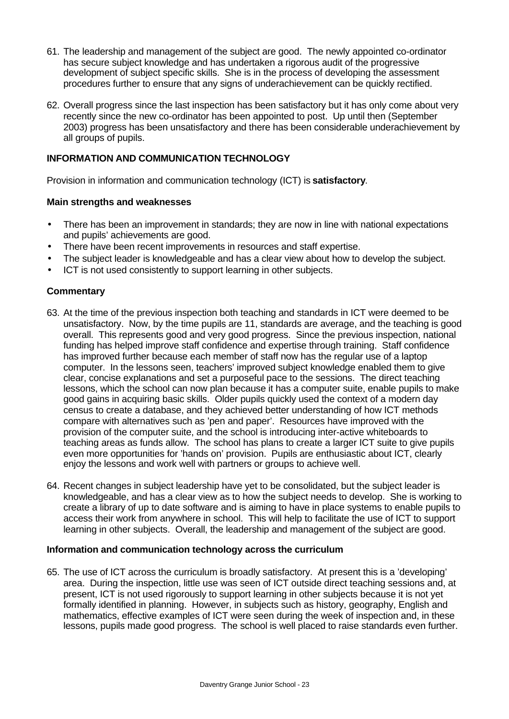- 61. The leadership and management of the subject are good. The newly appointed co-ordinator has secure subject knowledge and has undertaken a rigorous audit of the progressive development of subject specific skills. She is in the process of developing the assessment procedures further to ensure that any signs of underachievement can be quickly rectified.
- 62. Overall progress since the last inspection has been satisfactory but it has only come about very recently since the new co-ordinator has been appointed to post. Up until then (September 2003) progress has been unsatisfactory and there has been considerable underachievement by all groups of pupils.

## **INFORMATION AND COMMUNICATION TECHNOLOGY**

Provision in information and communication technology (ICT) is **satisfactory**.

#### **Main strengths and weaknesses**

- There has been an improvement in standards; they are now in line with national expectations and pupils' achievements are good.
- There have been recent improvements in resources and staff expertise.
- The subject leader is knowledgeable and has a clear view about how to develop the subject.
- ICT is not used consistently to support learning in other subjects.

#### **Commentary**

- 63. At the time of the previous inspection both teaching and standards in ICT were deemed to be unsatisfactory. Now, by the time pupils are 11, standards are average, and the teaching is good overall. This represents good and very good progress. Since the previous inspection, national funding has helped improve staff confidence and expertise through training. Staff confidence has improved further because each member of staff now has the regular use of a laptop computer. In the lessons seen, teachers' improved subject knowledge enabled them to give clear, concise explanations and set a purposeful pace to the sessions. The direct teaching lessons, which the school can now plan because it has a computer suite, enable pupils to make good gains in acquiring basic skills. Older pupils quickly used the context of a modern day census to create a database, and they achieved better understanding of how ICT methods compare with alternatives such as 'pen and paper'. Resources have improved with the provision of the computer suite, and the school is introducing inter-active whiteboards to teaching areas as funds allow. The school has plans to create a larger ICT suite to give pupils even more opportunities for 'hands on' provision. Pupils are enthusiastic about ICT, clearly enjoy the lessons and work well with partners or groups to achieve well.
- 64. Recent changes in subject leadership have yet to be consolidated, but the subject leader is knowledgeable, and has a clear view as to how the subject needs to develop. She is working to create a library of up to date software and is aiming to have in place systems to enable pupils to access their work from anywhere in school. This will help to facilitate the use of ICT to support learning in other subjects. Overall, the leadership and management of the subject are good.

#### **Information and communication technology across the curriculum**

65. The use of ICT across the curriculum is broadly satisfactory. At present this is a 'developing' area. During the inspection, little use was seen of ICT outside direct teaching sessions and, at present, ICT is not used rigorously to support learning in other subjects because it is not yet formally identified in planning. However, in subjects such as history, geography, English and mathematics, effective examples of ICT were seen during the week of inspection and, in these lessons, pupils made good progress. The school is well placed to raise standards even further.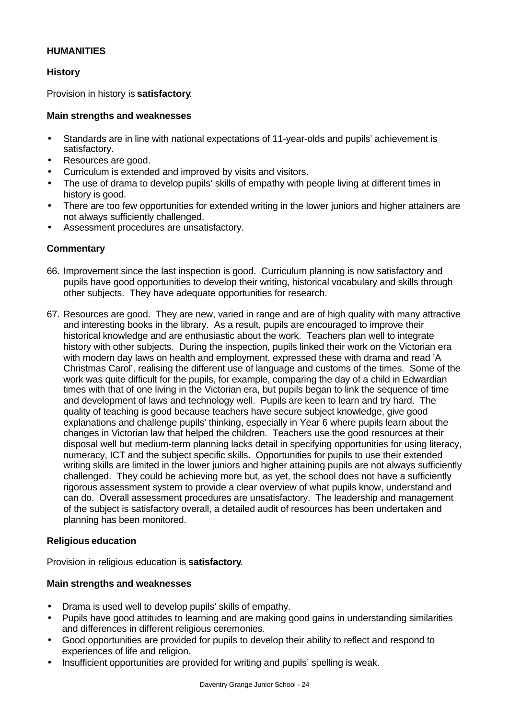## **HUMANITIES**

# **History**

Provision in history is **satisfactory**.

## **Main strengths and weaknesses**

- Standards are in line with national expectations of 11-year-olds and pupils' achievement is satisfactory.
- Resources are good.
- Curriculum is extended and improved by visits and visitors.
- The use of drama to develop pupils' skills of empathy with people living at different times in history is good.
- There are too few opportunities for extended writing in the lower juniors and higher attainers are not always sufficiently challenged.
- Assessment procedures are unsatisfactory.

## **Commentary**

- 66. Improvement since the last inspection is good. Curriculum planning is now satisfactory and pupils have good opportunities to develop their writing, historical vocabulary and skills through other subjects. They have adequate opportunities for research.
- 67. Resources are good. They are new, varied in range and are of high quality with many attractive and interesting books in the library. As a result, pupils are encouraged to improve their historical knowledge and are enthusiastic about the work. Teachers plan well to integrate history with other subjects. During the inspection, pupils linked their work on the Victorian era with modern day laws on health and employment, expressed these with drama and read 'A Christmas Carol', realising the different use of language and customs of the times. Some of the work was quite difficult for the pupils, for example, comparing the day of a child in Edwardian times with that of one living in the Victorian era, but pupils began to link the sequence of time and development of laws and technology well. Pupils are keen to learn and try hard. The quality of teaching is good because teachers have secure subject knowledge, give good explanations and challenge pupils' thinking, especially in Year 6 where pupils learn about the changes in Victorian law that helped the children. Teachers use the good resources at their disposal well but medium-term planning lacks detail in specifying opportunities for using literacy, numeracy, ICT and the subject specific skills. Opportunities for pupils to use their extended writing skills are limited in the lower juniors and higher attaining pupils are not always sufficiently challenged. They could be achieving more but, as yet, the school does not have a sufficiently rigorous assessment system to provide a clear overview of what pupils know, understand and can do. Overall assessment procedures are unsatisfactory. The leadership and management of the subject is satisfactory overall, a detailed audit of resources has been undertaken and planning has been monitored.

#### **Religious education**

Provision in religious education is **satisfactory**.

#### **Main strengths and weaknesses**

- Drama is used well to develop pupils' skills of empathy.
- Pupils have good attitudes to learning and are making good gains in understanding similarities and differences in different religious ceremonies.
- Good opportunities are provided for pupils to develop their ability to reflect and respond to experiences of life and religion.
- Insufficient opportunities are provided for writing and pupils' spelling is weak.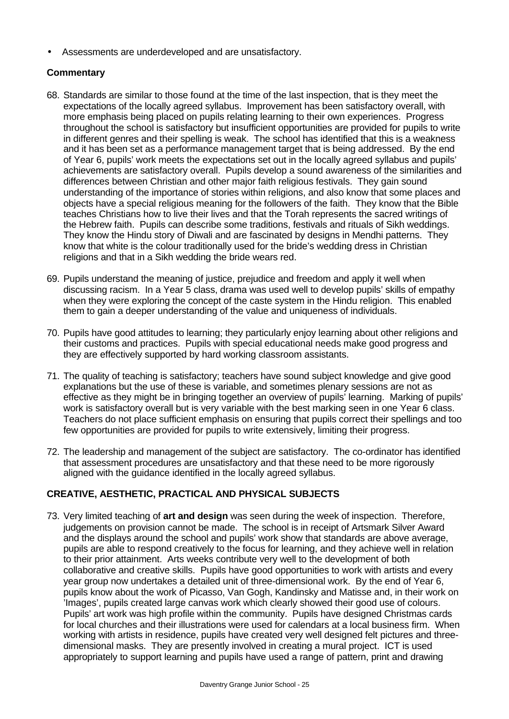• Assessments are underdeveloped and are unsatisfactory.

# **Commentary**

- 68. Standards are similar to those found at the time of the last inspection, that is they meet the expectations of the locally agreed syllabus. Improvement has been satisfactory overall, with more emphasis being placed on pupils relating learning to their own experiences. Progress throughout the school is satisfactory but insufficient opportunities are provided for pupils to write in different genres and their spelling is weak. The school has identified that this is a weakness and it has been set as a performance management target that is being addressed. By the end of Year 6, pupils' work meets the expectations set out in the locally agreed syllabus and pupils' achievements are satisfactory overall. Pupils develop a sound awareness of the similarities and differences between Christian and other major faith religious festivals. They gain sound understanding of the importance of stories within religions, and also know that some places and objects have a special religious meaning for the followers of the faith. They know that the Bible teaches Christians how to live their lives and that the Torah represents the sacred writings of the Hebrew faith. Pupils can describe some traditions, festivals and rituals of Sikh weddings. They know the Hindu story of Diwali and are fascinated by designs in Mendhi patterns. They know that white is the colour traditionally used for the bride's wedding dress in Christian religions and that in a Sikh wedding the bride wears red.
- 69. Pupils understand the meaning of justice, prejudice and freedom and apply it well when discussing racism. In a Year 5 class, drama was used well to develop pupils' skills of empathy when they were exploring the concept of the caste system in the Hindu religion. This enabled them to gain a deeper understanding of the value and uniqueness of individuals.
- 70. Pupils have good attitudes to learning; they particularly enjoy learning about other religions and their customs and practices. Pupils with special educational needs make good progress and they are effectively supported by hard working classroom assistants.
- 71. The quality of teaching is satisfactory; teachers have sound subject knowledge and give good explanations but the use of these is variable, and sometimes plenary sessions are not as effective as they might be in bringing together an overview of pupils' learning. Marking of pupils' work is satisfactory overall but is very variable with the best marking seen in one Year 6 class. Teachers do not place sufficient emphasis on ensuring that pupils correct their spellings and too few opportunities are provided for pupils to write extensively, limiting their progress.
- 72. The leadership and management of the subject are satisfactory. The co-ordinator has identified that assessment procedures are unsatisfactory and that these need to be more rigorously aligned with the guidance identified in the locally agreed syllabus.

# **CREATIVE, AESTHETIC, PRACTICAL AND PHYSICAL SUBJECTS**

73. Very limited teaching of **art and design** was seen during the week of inspection. Therefore, judgements on provision cannot be made. The school is in receipt of Artsmark Silver Award and the displays around the school and pupils' work show that standards are above average, pupils are able to respond creatively to the focus for learning, and they achieve well in relation to their prior attainment. Arts weeks contribute very well to the development of both collaborative and creative skills. Pupils have good opportunities to work with artists and every year group now undertakes a detailed unit of three-dimensional work. By the end of Year 6, pupils know about the work of Picasso, Van Gogh, Kandinsky and Matisse and, in their work on 'Images', pupils created large canvas work which clearly showed their good use of colours. Pupils' art work was high profile within the community. Pupils have designed Christmas cards for local churches and their illustrations were used for calendars at a local business firm. When working with artists in residence, pupils have created very well designed felt pictures and threedimensional masks. They are presently involved in creating a mural project. ICT is used appropriately to support learning and pupils have used a range of pattern, print and drawing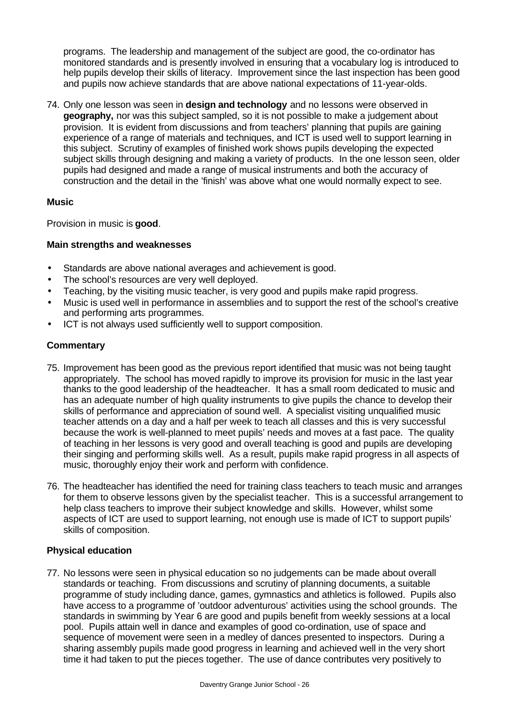programs. The leadership and management of the subject are good, the co-ordinator has monitored standards and is presently involved in ensuring that a vocabulary log is introduced to help pupils develop their skills of literacy. Improvement since the last inspection has been good and pupils now achieve standards that are above national expectations of 11-year-olds.

74. Only one lesson was seen in **design and technology** and no lessons were observed in **geography,** nor was this subject sampled, so it is not possible to make a judgement about provision. It is evident from discussions and from teachers' planning that pupils are gaining experience of a range of materials and techniques, and ICT is used well to support learning in this subject. Scrutiny of examples of finished work shows pupils developing the expected subject skills through designing and making a variety of products. In the one lesson seen, older pupils had designed and made a range of musical instruments and both the accuracy of construction and the detail in the 'finish' was above what one would normally expect to see.

#### **Music**

Provision in music is **good**.

## **Main strengths and weaknesses**

- Standards are above national averages and achievement is good.
- The school's resources are very well deployed.
- Teaching, by the visiting music teacher, is very good and pupils make rapid progress.
- Music is used well in performance in assemblies and to support the rest of the school's creative and performing arts programmes.
- ICT is not always used sufficiently well to support composition.

## **Commentary**

- 75. Improvement has been good as the previous report identified that music was not being taught appropriately. The school has moved rapidly to improve its provision for music in the last year thanks to the good leadership of the headteacher. It has a small room dedicated to music and has an adequate number of high quality instruments to give pupils the chance to develop their skills of performance and appreciation of sound well. A specialist visiting unqualified music teacher attends on a day and a half per week to teach all classes and this is very successful because the work is well-planned to meet pupils' needs and moves at a fast pace. The quality of teaching in her lessons is very good and overall teaching is good and pupils are developing their singing and performing skills well. As a result, pupils make rapid progress in all aspects of music, thoroughly enjoy their work and perform with confidence.
- 76. The headteacher has identified the need for training class teachers to teach music and arranges for them to observe lessons given by the specialist teacher. This is a successful arrangement to help class teachers to improve their subject knowledge and skills. However, whilst some aspects of ICT are used to support learning, not enough use is made of ICT to support pupils' skills of composition.

#### **Physical education**

77. No lessons were seen in physical education so no judgements can be made about overall standards or teaching. From discussions and scrutiny of planning documents, a suitable programme of study including dance, games, gymnastics and athletics is followed. Pupils also have access to a programme of 'outdoor adventurous' activities using the school grounds. The standards in swimming by Year 6 are good and pupils benefit from weekly sessions at a local pool. Pupils attain well in dance and examples of good co-ordination, use of space and sequence of movement were seen in a medley of dances presented to inspectors. During a sharing assembly pupils made good progress in learning and achieved well in the very short time it had taken to put the pieces together. The use of dance contributes very positively to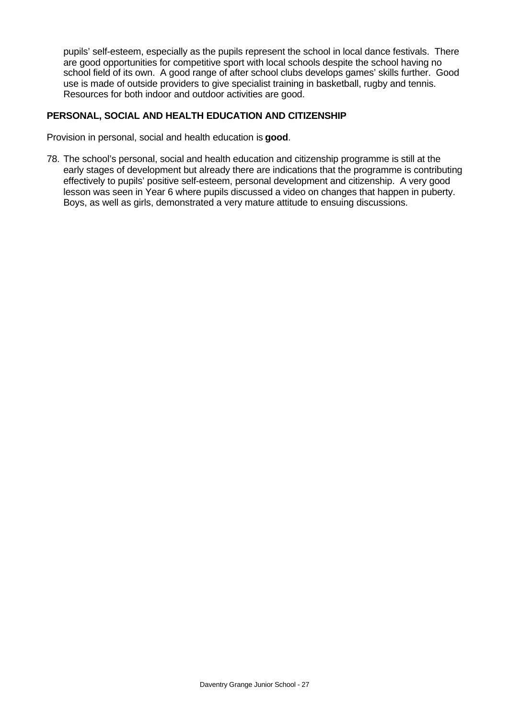pupils' self-esteem, especially as the pupils represent the school in local dance festivals. There are good opportunities for competitive sport with local schools despite the school having no school field of its own. A good range of after school clubs develops games' skills further. Good use is made of outside providers to give specialist training in basketball, rugby and tennis. Resources for both indoor and outdoor activities are good.

## **PERSONAL, SOCIAL AND HEALTH EDUCATION AND CITIZENSHIP**

Provision in personal, social and health education is **good**.

78. The school's personal, social and health education and citizenship programme is still at the early stages of development but already there are indications that the programme is contributing effectively to pupils' positive self-esteem, personal development and citizenship. A very good lesson was seen in Year 6 where pupils discussed a video on changes that happen in puberty. Boys, as well as girls, demonstrated a very mature attitude to ensuing discussions.